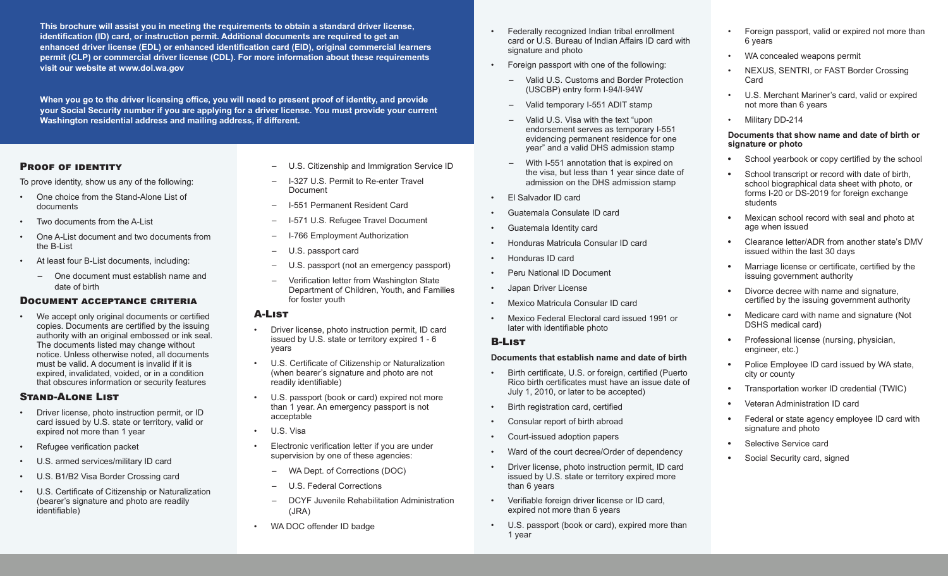**This brochure will assist you in meeting the requirements to obtain a standard driver license, identification (ID) card, or instruction permit. Additional documents are required to get an enhanced driver license (EDL) or enhanced identification card (EID), original commercial learners permit (CLP) or commercial driver license (CDL). For more information about these requirements visit our website at www.dol.wa.gov**

**When you go to the driver licensing office, you will need to present proof of identity, and provide your Social Security number if you are applying for a driver license. You must provide your current Washington residential address and mailing address, if different.** 

#### PROOF OF IDENTITY

To prove identity, show us any of the following:

- One choice from the Stand-Alone List of documents
- Two documents from the A-List
- One A-List document and two documents from the B-List
- At least four B-List documents, including:
	- One document must establish name and date of birth

#### Document acceptance criteria

We accept only original documents or certified copies. Documents are certified by the issuing authority with an original embossed or ink seal. The documents listed may change without notice. Unless otherwise noted, all documents must be valid. A document is invalid if it is expired, invalidated, voided, or in a condition that obscures information or security features

#### Stand-Alone List

- Driver license, photo instruction permit, or ID card issued by U.S. state or territory, valid or expired not more than 1 year
- Refugee verification packet
- U.S. armed services/military ID card
- U.S. B1/B2 Visa Border Crossing card
- U.S. Certificate of Citizenship or Naturalization (bearer's signature and photo are readily identifiable)
- U.S. Citizenship and Immigration Service ID
- I-327 U.S. Permit to Re-enter Travel **Document**
- I-551 Permanent Resident Card
- I-571 U.S. Refugee Travel Document
- I-766 Employment Authorization
- U.S. passport card
- U.S. passport (not an emergency passport) – Verification letter from Washington State
- Department of Children, Youth, and Families for foster youth

### A-List

- Driver license, photo instruction permit, ID card issued by U.S. state or territory expired 1 - 6 years
- U.S. Certificate of Citizenship or Naturalization (when bearer's signature and photo are not readily identifiable)
- U.S. passport (book or card) expired not more than 1 year. An emergency passport is not acceptable
- U.S. Visa
- Electronic verification letter if you are under supervision by one of these agencies:
	- WA Dept. of Corrections (DOC)
	- U.S. Federal Corrections
	- DCYF Juvenile Rehabilitation Administration (JRA)
- WA DOC offender ID badge
- Federally recognized Indian tribal enrollment card or U.S. Bureau of Indian Affairs ID card with signature and photo
- Foreign passport with one of the following:
	- Valid U.S. Customs and Border Protection (USCBP) entry form I-94/I-94W
	- Valid temporary I-551 ADIT stamp
	- Valid U.S. Visa with the text "upon endorsement serves as temporary I-551 evidencing permanent residence for one year" and a valid DHS admission stamp
	- With I-551 annotation that is expired on the visa, but less than 1 year since date of admission on the DHS admission stamp
- El Salvador ID card
- Guatemala Consulate ID card
- Guatemala Identity card
- Honduras Matricula Consular ID card
- Honduras ID card
- Peru National ID Document
- Japan Driver License
- Mexico Matricula Consular ID card
- Mexico Federal Electoral card issued 1991 or later with identifiable photo

#### B-List

#### **Documents that establish name and date of birth**

- Birth certificate, U.S. or foreign, certified (Puerto Rico birth certificates must have an issue date of July 1, 2010, or later to be accepted)
- Birth registration card, certified
- Consular report of birth abroad
- Court-issued adoption papers
- Ward of the court decree/Order of dependency
- Driver license, photo instruction permit, ID card issued by U.S. state or territory expired more than 6 years
- Verifiable foreign driver license or ID card, expired not more than 6 years
- U.S. passport (book or card), expired more than 1 year
- Foreign passport, valid or expired not more than 6 years
- WA concealed weapons permit
- NEXUS, SENTRI, or FAST Border Crossing Card
- U.S. Merchant Mariner's card, valid or expired not more than 6 years
- Military DD-214

#### **Documents that show name and date of birth or signature or photo**

- School yearbook or copy certified by the school
- School transcript or record with date of birth, school biographical data sheet with photo, or forms I-20 or DS-2019 for foreign exchange students
- Mexican school record with seal and photo at age when issued
- Clearance letter/ADR from another state's DMV issued within the last 30 days
- Marriage license or certificate, certified by the issuing government authority
- Divorce decree with name and signature, certified by the issuing government authority
- Medicare card with name and signature (Not DSHS medical card)
- Professional license (nursing, physician, engineer, etc.)
- Police Employee ID card issued by WA state, city or county
- Transportation worker ID credential (TWIC)
- Veteran Administration ID card
- Federal or state agency employee ID card with signature and photo
- Selective Service card
- Social Security card, signed